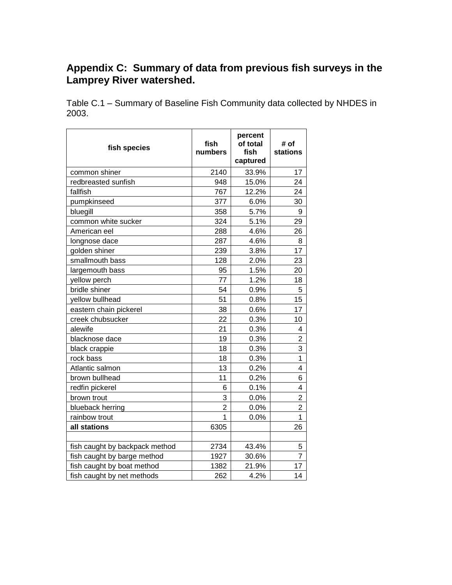## **Appendix C: Summary of data from previous fish surveys in the Lamprey River watershed.**

Table C.1 – Summary of Baseline Fish Community data collected by NHDES in 2003.

| fish species                   | fish<br>numbers | percent<br>of total<br>fish<br>captured | # of<br>stations        |
|--------------------------------|-----------------|-----------------------------------------|-------------------------|
| common shiner                  | 2140            | 33.9%                                   | 17                      |
| redbreasted sunfish            | 948             | 15.0%                                   | 24                      |
| fallfish                       | 767             | 12.2%                                   | 24                      |
| pumpkinseed                    | 377             | 6.0%                                    | 30                      |
| bluegill                       | 358             | 5.7%                                    | 9                       |
| common white sucker            | 324             | 5.1%                                    | 29                      |
| American eel                   | 288             | 4.6%                                    | 26                      |
| longnose dace                  | 287             | 4.6%                                    | 8                       |
| golden shiner                  | 239             | 3.8%                                    | 17                      |
| smallmouth bass                | 128             | 2.0%                                    | 23                      |
| largemouth bass                | 95              | 1.5%                                    | 20                      |
| yellow perch                   | 77              | 1.2%                                    | 18                      |
| bridle shiner                  | 54              | 0.9%                                    | 5                       |
| yellow bullhead                | 51              | 0.8%                                    | 15                      |
| eastern chain pickerel         | 38              | 0.6%                                    | 17                      |
| creek chubsucker               | 22              | 0.3%                                    | 10                      |
| alewife                        | 21              | 0.3%                                    | 4                       |
| blacknose dace                 | 19              | 0.3%                                    | $\overline{\mathbf{c}}$ |
| black crappie                  | 18              | 0.3%                                    | 3                       |
| rock bass                      | 18              | 0.3%                                    | $\mathbf{1}$            |
| Atlantic salmon                | 13              | 0.2%                                    | 4                       |
| brown bullhead                 | 11              | 0.2%                                    | 6                       |
| redfin pickerel                | 6               | 0.1%                                    | 4                       |
| brown trout                    | 3               | 0.0%                                    | $\overline{2}$          |
| blueback herring               | $\overline{2}$  | 0.0%                                    | $\overline{2}$          |
| rainbow trout                  | 1               | 0.0%                                    | $\overline{1}$          |
| all stations                   | 6305            |                                         | 26                      |
| fish caught by backpack method | 2734            | 43.4%                                   | 5                       |
| fish caught by barge method    | 1927            | 30.6%                                   | $\overline{7}$          |
| fish caught by boat method     | 1382            | 21.9%                                   | 17                      |
| fish caught by net methods     | 262             | 4.2%                                    | 14                      |